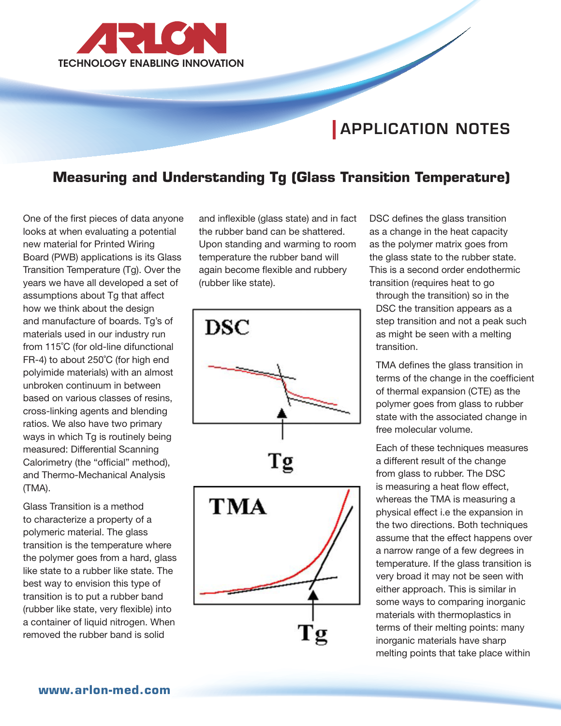

# APPLICATION NOTES

## **Measuring and Understanding Tg (Glass Transition Temperature)**

One of the first pieces of data anyone looks at when evaluating a potential new material for Printed Wiring Board (PWB) applications is its Glass Transition Temperature (Tg). Over the years we have all developed a set of assumptions about Tg that affect how we think about the design and manufacture of boards. Tg's of materials used in our industry run from 115˚C (for old-line difunctional FR-4) to about 250˚C (for high end polyimide materials) with an almost unbroken continuum in between based on various classes of resins, cross-linking agents and blending ratios. We also have two primary ways in which Tg is routinely being measured: Differential Scanning Calorimetry (the "official" method), and Thermo-Mechanical Analysis (TMA).

Glass Transition is a method to characterize a property of a polymeric material. The glass transition is the temperature where the polymer goes from a hard, glass like state to a rubber like state. The best way to envision this type of transition is to put a rubber band (rubber like state, very flexible) into a container of liquid nitrogen. When removed the rubber band is solid

and inflexible (glass state) and in fact the rubber band can be shattered. Upon standing and warming to room temperature the rubber band will again become flexible and rubbery (rubber like state).



DSC defines the glass transition as a change in the heat capacity as the polymer matrix goes from the glass state to the rubber state. This is a second order endothermic transition (requires heat to go

through the transition) so in the DSC the transition appears as a step transition and not a peak such as might be seen with a melting transition.

TMA defines the glass transition in terms of the change in the coefficient of thermal expansion (CTE) as the polymer goes from glass to rubber state with the associated change in free molecular volume.

Each of these techniques measures a different result of the change from glass to rubber. The DSC is measuring a heat flow effect, whereas the TMA is measuring a physical effect i.e the expansion in the two directions. Both techniques assume that the effect happens over a narrow range of a few degrees in temperature. If the glass transition is very broad it may not be seen with either approach. This is similar in some ways to comparing inorganic materials with thermoplastics in terms of their melting points: many inorganic materials have sharp melting points that take place within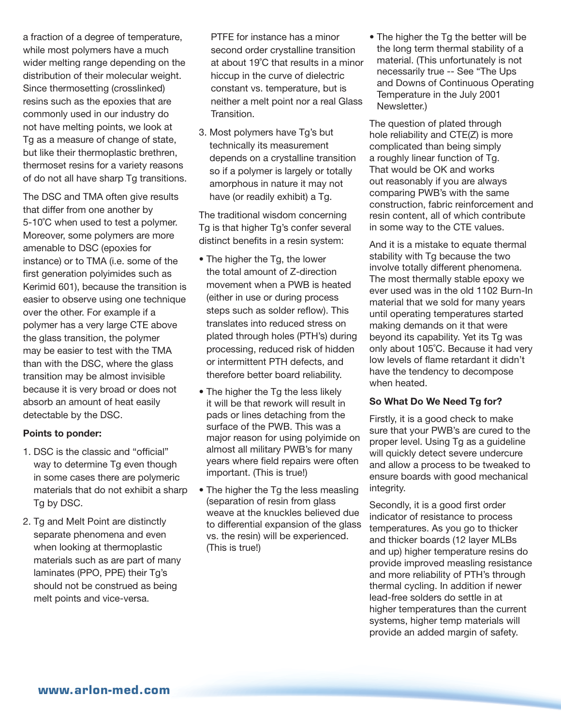a fraction of a degree of temperature, while most polymers have a much wider melting range depending on the distribution of their molecular weight. Since thermosetting (crosslinked) resins such as the epoxies that are commonly used in our industry do not have melting points, we look at Tg as a measure of change of state, but like their thermoplastic brethren, thermoset resins for a variety reasons of do not all have sharp Tg transitions.

The DSC and TMA often give results that differ from one another by 5-10°C when used to test a polymer. Moreover, some polymers are more amenable to DSC (epoxies for instance) or to TMA (i.e. some of the first generation polyimides such as Kerimid 601), because the transition is easier to observe using one technique over the other. For example if a polymer has a very large CTE above the glass transition, the polymer may be easier to test with the TMA than with the DSC, where the glass transition may be almost invisible because it is very broad or does not absorb an amount of heat easily detectable by the DSC.

## Points to ponder:

- 1. DSC is the classic and "official" way to determine Tg even though in some cases there are polymeric materials that do not exhibit a sharp Tg by DSC.
- 2. Tg and Melt Point are distinctly separate phenomena and even when looking at thermoplastic materials such as are part of many laminates (PPO, PPE) their Tg's should not be construed as being melt points and vice-versa.

PTFE for instance has a minor second order crystalline transition at about 19˚C that results in a minor hiccup in the curve of dielectric constant vs. temperature, but is neither a melt point nor a real Glass Transition.

3. Most polymers have Tg's but technically its measurement depends on a crystalline transition so if a polymer is largely or totally amorphous in nature it may not have (or readily exhibit) a Tg.

The traditional wisdom concerning Tg is that higher Tg's confer several distinct benefits in a resin system:

- The higher the Tg, the lower the total amount of Z-direction movement when a PWB is heated (either in use or during process steps such as solder reflow). This translates into reduced stress on plated through holes (PTH's) during processing, reduced risk of hidden or intermittent PTH defects, and therefore better board reliability.
- The higher the Tg the less likely it will be that rework will result in pads or lines detaching from the surface of the PWB. This was a major reason for using polyimide on almost all military PWB's for many years where field repairs were often important. (This is true!)
- The higher the Tg the less measling (separation of resin from glass weave at the knuckles believed due to differential expansion of the glass vs. the resin) will be experienced. (This is true!)

• The higher the Tg the better will be the long term thermal stability of a material. (This unfortunately is not necessarily true -- See "The Ups and Downs of Continuous Operating Temperature in the July 2001 Newsletter.)

The question of plated through hole reliability and CTE(Z) is more complicated than being simply a roughly linear function of Tg. That would be OK and works out reasonably if you are always comparing PWB's with the same construction, fabric reinforcement and resin content, all of which contribute in some way to the CTE values.

And it is a mistake to equate thermal stability with Tg because the two involve totally different phenomena. The most thermally stable epoxy we ever used was in the old 1102 Burn-In material that we sold for many years until operating temperatures started making demands on it that were beyond its capability. Yet its Tg was only about 105˚C. Because it had very low levels of flame retardant it didn't have the tendency to decompose when heated.

### So What Do We Need Tg for?

Firstly, it is a good check to make sure that your PWB's are cured to the proper level. Using Tg as a guideline will quickly detect severe undercure and allow a process to be tweaked to ensure boards with good mechanical integrity.

Secondly, it is a good first order indicator of resistance to process temperatures. As you go to thicker and thicker boards (12 layer MLBs and up) higher temperature resins do provide improved measling resistance and more reliability of PTH's through thermal cycling. In addition if newer lead-free solders do settle in at higher temperatures than the current systems, higher temp materials will provide an added margin of safety.